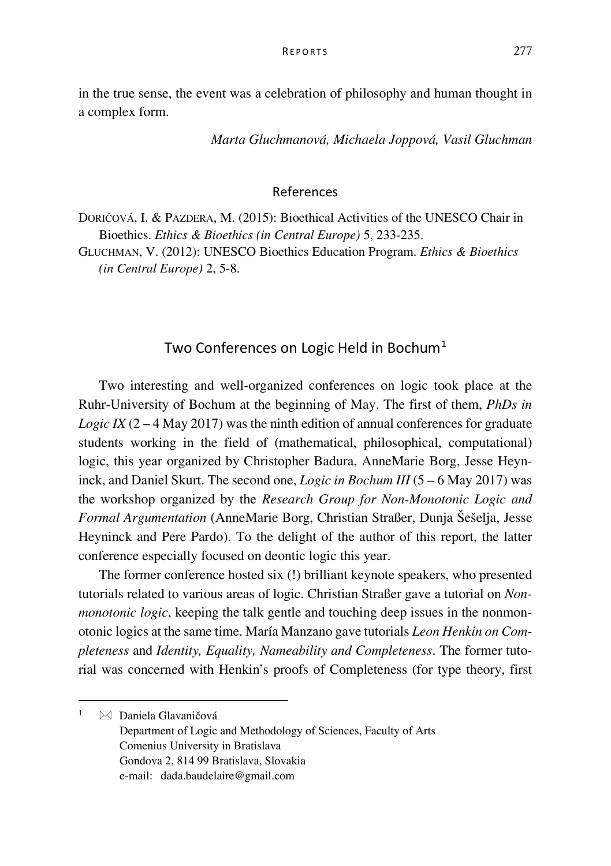in the true sense, the event was a celebration of philosophy and human thought in a complex form.

*Marta Gluchmanová, Michaela Joppová, Vasil Gluchman*

## References

DORIČOVÁ, I. & PAZDERA, M. (2015): Bioethical Activities of the UNESCO Chair in Bioethics. *Ethics & Bioethics (in Central Europe)* 5, 233-235.

GLUCHMAN, V. (2012): UNESCO Bioethics Education Program. *Ethics & Bioethics (in Central Europe)* 2, 5-8.

## Two Conferences on Logic Held in Bochum<sup>[1](#page-0-0)</sup>

Two interesting and well-organized conferences on logic took place at the Ruhr-University of Bochum at the beginning of May. The first of them, *PhDs in Logic IX* ( $2 - 4$  May 2017) was the ninth edition of annual conferences for graduate students working in the field of (mathematical, philosophical, computational) logic, this year organized by Christopher Badura, AnneMarie Borg, Jesse Heyninck, and Daniel Skurt. The second one, *Logic in Bochum III* (5 – 6 May 2017) was the workshop organized by the *Research Group for Non-Monotonic Logic and Formal Argumentation* (AnneMarie Borg, Christian Straßer, Dunja Šešelja, Jesse Heyninck and Pere Pardo). To the delight of the author of this report, the latter conference especially focused on deontic logic this year.

The former conference hosted six (!) brilliant keynote speakers, who presented tutorials related to various areas of logic. [Christian Straßer](http://homepages.ruhr-uni-bochum.de/defeasible-reasoning/index.html#christian) gave a tutorial on *Nonmonotonic logic*, keeping the talk gentle and touching deep issues in the nonmonotonic logics at the same time[. María Manzano](http://logicae.usal.es/mara/) gave tutorials *Leon Henkin on Completeness* and *Identity, Equality, Nameability and Completeness*. The former tutorial was concerned with Henkin's proofs of Completeness (for type theory, first

<span id="page-0-0"></span> $\bar{1}$  $\boxtimes$  Daniela Glavaničová

Department of Logic and Methodology of Sciences, Faculty of Arts Comenius University in Bratislava Gondova 2, 814 99 Bratislava, Slovakia e-mail: dada.baudelaire@gmail.com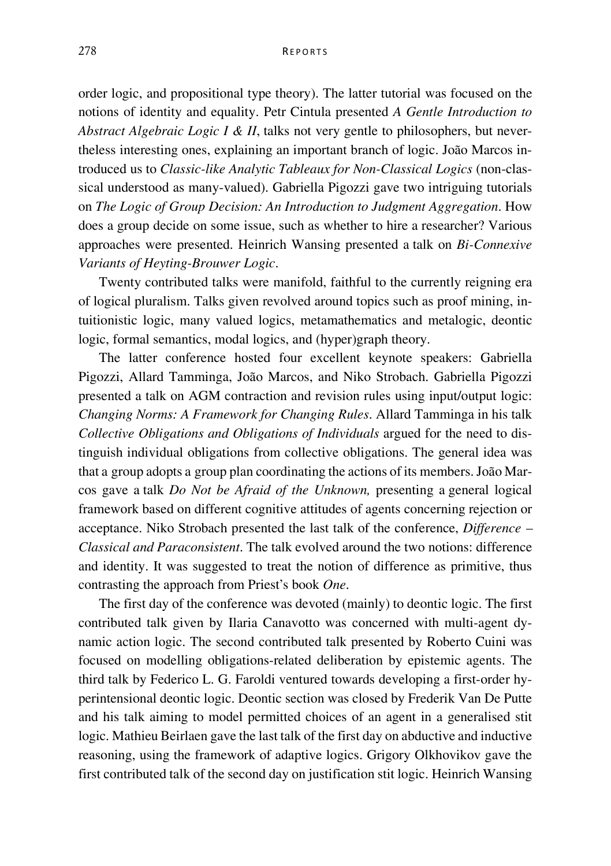order logic, and propositional type theory). The latter tutorial was focused on the notions of identity and equality. Petr Cintula presented *A Gentle Introduction to Abstract Algebraic Logic I & II*, talks not very gentle to philosophers, but nevertheless interesting ones, explaining an important branch of logic. [João Marcos](https://sites.google.com/site/sequiturquodlibet/) introduced us to *Classic-like Analytic Tableaux for Non-Classical Logics* (non-classical understood as many-valued). [Gabriella Pigozzi](http://www.pigozzi.org/Home.html) gave two intriguing tutorials on *The Logic of Group Decision: An Introduction to Judgment Aggregation*. How does a group decide on some issue, such as whether to hire a researcher? Various approaches were presented. [Heinrich Wansing](http://www.ruhr-uni-bochum.de/philosophy/logic/) presented a talk on *Bi-Connexive Variants of Heyting-Brouwer Logic*.

Twenty contributed talks were manifold, faithful to the currently reigning era of logical pluralism. Talks given revolved around topics such as proof mining, intuitionistic logic, many valued logics, metamathematics and metalogic, deontic logic, formal semantics, modal logics, and (hyper)graph theory.

The latter conference hosted four excellent keynote speakers: Gabriella Pigozzi, Allard Tamminga, João Marcos, and Niko Strobach. Gabriella Pigozzi presented a talk on AGM contraction and revision rules using input/output logic: *Changing Norms: A Framework for Changing Rules*. Allard Tamminga in his talk *Collective Obligations and Obligations of Individuals* argued for the need to distinguish individual obligations from collective obligations. The general idea was that a group adopts a group plan coordinating the actions of its members. João Marcos gave a talk *Do Not be Afraid of the Unknown,* presenting a general logical framework based on different cognitive attitudes of agents concerning rejection or acceptance. Niko Strobach presented the last talk of the conference, *Difference – Classical and Paraconsistent*. The talk evolved around the two notions: difference and identity. It was suggested to treat the notion of difference as primitive, thus contrasting the approach from Priest's book *One*.

The first day of the conference was devoted (mainly) to deontic logic. The first contributed talk given by Ilaria Canavotto was concerned with multi-agent dynamic action logic. The second contributed talk presented by Roberto Cuini was focused on modelling obligations-related deliberation by epistemic agents. The third talk by Federico L. G. Faroldi ventured towards developing a first-order hyperintensional deontic logic. Deontic section was closed by Frederik Van De Putte and his talk aiming to model permitted choices of an agent in a generalised stit logic. Mathieu Beirlaen gave the last talk of the first day on abductive and inductive reasoning, using the framework of adaptive logics. Grigory Olkhovikov gave the first contributed talk of the second day on justification stit logic. Heinrich Wansing